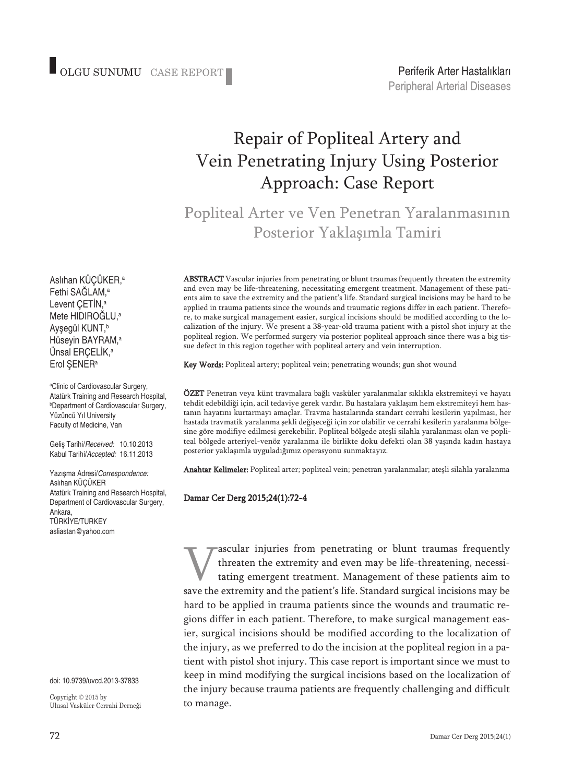## Repair of Popliteal Artery and Vein Penetrating Injury Using Posterior Approach: Case Report

Popliteal Arter ve Ven Penetran Yaralanmasının Posterior Yaklaşımla Tamiri

ABSTRACT Vascular injuries from penetrating or blunt traumas frequently threaten the extremity and even may be life-threatening, necessitating emergent treatment. Management of these patients aim to save the extremity and the patient's life. Standard surgical incisions may be hard to be applied in trauma patients since the wounds and traumatic regions differ in each patient. Therefore, to make surgical management easier, surgical incisions should be modified according to the localization of the injury. We present a 38-year-old trauma patient with a pistol shot injury at the popliteal region. We performed surgery via posterior popliteal approach since there was a big tissue defect in this region together with popliteal artery and vein interruption.

Key Words: Popliteal artery; popliteal vein; penetrating wounds; gun shot wound

ÖZET Penetran veya künt travmalara bağlı vasküler yaralanmalar sıklıkla ekstremiteyi ve hayatı tehdit edebildiği için, acil tedaviye gerek vardır. Bu hastalara yaklaşım hem ekstremiteyi hem hastanın hayatını kurtarmayı amaçlar. Travma hastalarında standart cerrahi kesilerin yapılması, her hastada travmatik yaralanma şekli değişeceği için zor olabilir ve cerrahi kesilerin yaralanma bölgesine göre modifiye edilmesi gerekebilir. Popliteal bölgede ateşli silahla yaralanması olan ve popliteal bölgede arteriyel-venöz yaralanma ile birlikte doku defekti olan 38 yaşında kadın hastaya posterior yaklaşımla uyguladığımız operasyonu sunmaktayız.

Anahtar Kelimeler: Popliteal arter; popliteal vein; penetran yaralanmalar; ateşli silahla yaralanma

Damar Cer Derg 2015;24(1):72-4

Tascular injuries from penetrating or blunt traumas frequently<br>threaten the extremity and even may be life-threatening, necessi-<br>tating emergent treatment. Management of these patients aim to<br>save the extremity and the pat threaten the extremity and even may be life-threatening, necessitating emergent treatment. Management of these patients aim to save the extremity and the patient's life. Standard surgical incisions may be hard to be applied in trauma patients since the wounds and traumatic regions differ in each patient. Therefore, to make surgical management easier, surgical incisions should be modified according to the localization of the injury, as we preferred to do the incision at the popliteal region in a patient with pistol shot injury. This case report is important since we must to keep in mind modifying the surgical incisions based on the localization of the injury because trauma patients are frequently challenging and difficult to manage.

Aslıhan KÜÇÜKER, a Fethi SAĞLAM, a Levent ÇETİN, a Mete HIDIROĞLU, a Ayşegül KUNT, b Hüseyin BAYRAM, a Ünsal ERÇELİK, a Erol ŞENERa

a Clinic of Cardiovascular Surgery, Atatürk Training and Research Hospital, b Department of Cardiovascular Surgery, Yüzüncü Yıl University Faculty of Medicine, Van

Geliş Tarihi/*Received:* 10.10.2013 Kabul Tarihi/*Accepted:* 16.11.2013

Yazışma Adresi/*Correspondence:* Aslıhan KÜÇÜKER Atatürk Training and Research Hospital, Department of Cardiovascular Surgery, Ankara, TÜRKİYE/TURKEY asliastan@yahoo.com

doi: 10.9739/uvcd.2013-37833

Copyright © 2015 by Ulusal Vasküler Cerrahi Derneği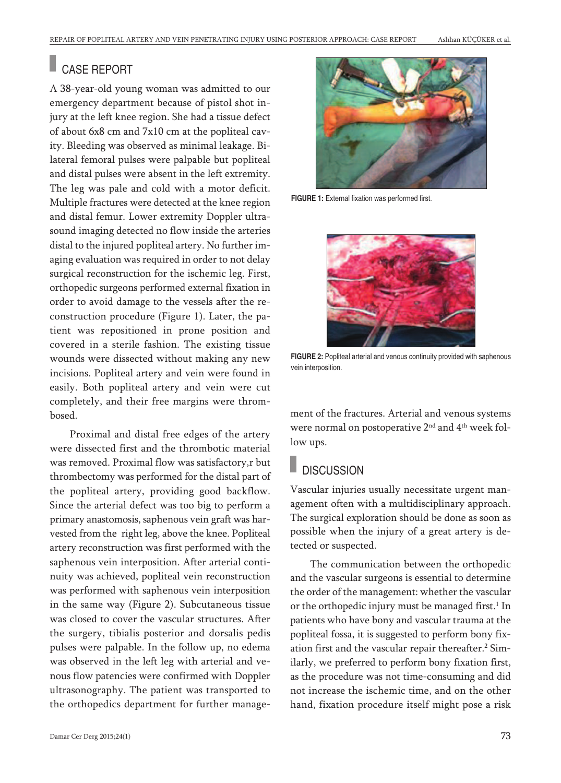## CASE REPORT

A 38-year-old young woman was admitted to our emergency department because of pistol shot injury at the left knee region. She had a tissue defect of about 6x8 cm and 7x10 cm at the popliteal cavity. Bleeding was observed as minimal leakage. Bilateral femoral pulses were palpable but popliteal and distal pulses were absent in the left extremity. The leg was pale and cold with a motor deficit. Multiple fractures were detected at the knee region and distal femur. Lower extremity Doppler ultrasound imaging detected no flow inside the arteries distal to the injured popliteal artery. No further imaging evaluation was required in order to not delay surgical reconstruction for the ischemic leg. First, orthopedic surgeons performed external fixation in order to avoid damage to the vessels after the reconstruction procedure (Figure 1). Later, the patient was repositioned in prone position and covered in a sterile fashion. The existing tissue wounds were dissected without making any new incisions. Popliteal artery and vein were found in easily. Both popliteal artery and vein were cut completely, and their free margins were thrombosed.

Proximal and distal free edges of the artery were dissected first and the thrombotic material was removed. Proximal flow was satisfactory,r but thrombectomy was performed for the distal part of the popliteal artery, providing good backflow. Since the arterial defect was too big to perform a primary anastomosis, saphenous vein graft was harvested from the right leg, above the knee. Popliteal artery reconstruction was first performed with the saphenous vein interposition. After arterial continuity was achieved, popliteal vein reconstruction was performed with saphenous vein interposition in the same way (Figure 2). Subcutaneous tissue was closed to cover the vascular structures. After the surgery, tibialis posterior and dorsalis pedis pulses were palpable. In the follow up, no edema was observed in the left leg with arterial and venous flow patencies were confirmed with Doppler ultrasonography. The patient was transported to the orthopedics department for further manage-



**FIGURE 1:** External fixation was performed first.



**FIGURE 2:** Popliteal arterial and venous continuity provided with saphenous vein interposition.

ment of the fractures. Arterial and venous systems were normal on postoperative 2<sup>nd</sup> and 4<sup>th</sup> week follow ups.

## **DISCUSSION**

Vascular injuries usually necessitate urgent management often with a multidisciplinary approach. The surgical exploration should be done as soon as possible when the injury of a great artery is detected or suspected.

The communication between the orthopedic and the vascular surgeons is essential to determine the order of the management: whether the vascular or the orthopedic injury must be managed first. <sup>1</sup> In patients who have bony and vascular trauma at the popliteal fossa, it is suggested to perform bony fixation first and the vascular repair thereafter. <sup>2</sup> Similarly, we preferred to perform bony fixation first, as the procedure was not time-consuming and did not increase the ischemic time, and on the other hand, fixation procedure itself might pose a risk